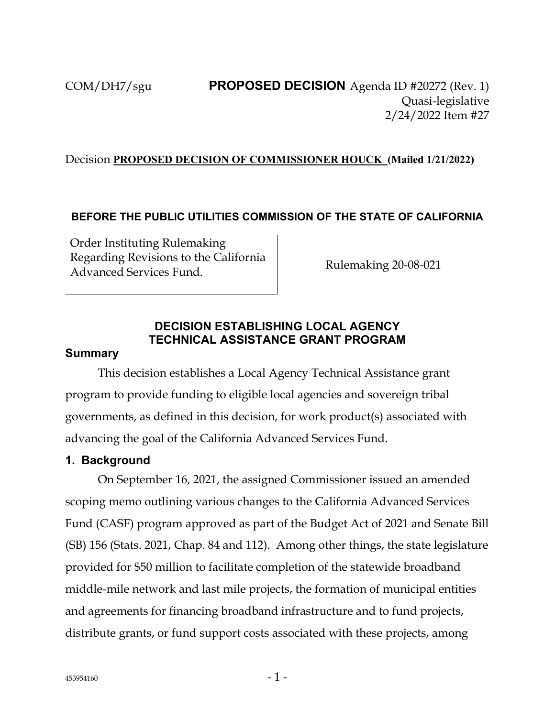### Decision **PROPOSED DECISION OF COMMISSIONER HOUCK (Mailed 1/21/2022)**

### **BEFORE THE PUBLIC UTILITIES COMMISSION OF THE STATE OF CALIFORNIA**

Order Instituting Rulemaking Regarding Revisions to the California Rulemaking 20-08-021<br>Advanced Services Fund.

## **DECISION ESTABLISHING LOCAL AGENCY TECHNICAL ASSISTANCE GRANT PROGRAM**

#### **Summary**

This decision establishes a Local Agency Technical Assistance grant program to provide funding to eligible local agencies and sovereign tribal governments, as defined in this decision, for work product(s) associated with advancing the goal of the California Advanced Services Fund.

#### **1. Background**

On September 16, 2021, the assigned Commissioner issued an amended scoping memo outlining various changes to the California Advanced Services Fund (CASF) program approved as part of the Budget Act of 2021 and Senate Bill (SB) 156 (Stats. 2021, Chap. 84 and 112). Among other things, the state legislature provided for \$50 million to facilitate completion of the statewide broadband middle-mile network and last mile projects, the formation of municipal entities and agreements for financing broadband infrastructure and to fund projects, distribute grants, or fund support costs associated with these projects, among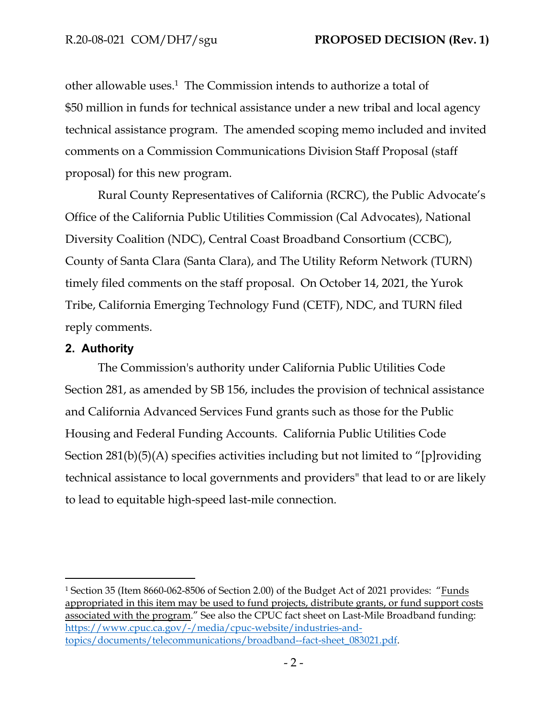other allowable uses.<sup>1</sup> The Commission intends to authorize a total of \$50 million in funds for technical assistance under a new tribal and local agency technical assistance program. The amended scoping memo included and invited comments on a Commission Communications Division Staff Proposal (staff proposal) for this new program.

Rural County Representatives of California (RCRC), the Public Advocate's Office of the California Public Utilities Commission (Cal Advocates), National Diversity Coalition (NDC), Central Coast Broadband Consortium (CCBC), County of Santa Clara (Santa Clara), and The Utility Reform Network (TURN) timely filed comments on the staff proposal. On October 14, 2021, the Yurok Tribe, California Emerging Technology Fund (CETF), NDC, and TURN filed reply comments.

### **2. Authority**

The Commission's authority under California Public Utilities Code Section 281, as amended by SB 156, includes the provision of technical assistance and California Advanced Services Fund grants such as those for the Public Housing and Federal Funding Accounts. California Public Utilities Code Section 281(b)(5)(A) specifies activities including but not limited to "[p]roviding technical assistance to local governments and providers" that lead to or are likely to lead to equitable high-speed last-mile connection.

<sup>1</sup> Section 35 (Item 8660-062-8506 of Section 2.00) of the Budget Act of 2021 provides: "Funds appropriated in this item may be used to fund projects, distribute grants, or fund support costs associated with the program." See also the CPUC fact sheet on Last-Mile Broadband funding: [https://www.cpuc.ca.gov/-/media/cpuc-website/industries-and](https://www.cpuc.ca.gov/-/media/cpuc-website/industries-and-topics/documents/telecommunications/broadband--fact-sheet_083021.pdf)[topics/documents/telecommunications/broadband--fact-sheet\\_083021.pdf](https://www.cpuc.ca.gov/-/media/cpuc-website/industries-and-topics/documents/telecommunications/broadband--fact-sheet_083021.pdf).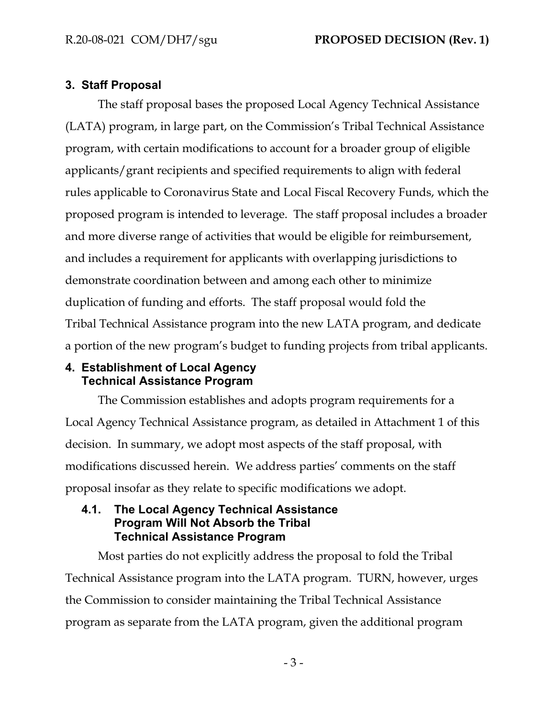# **3. Staff Proposal**

The staff proposal bases the proposed Local Agency Technical Assistance (LATA) program, in large part, on the Commission's Tribal Technical Assistance program, with certain modifications to account for a broader group of eligible applicants/grant recipients and specified requirements to align with federal rules applicable to Coronavirus State and Local Fiscal Recovery Funds, which the proposed program is intended to leverage. The staff proposal includes a broader and more diverse range of activities that would be eligible for reimbursement, and includes a requirement for applicants with overlapping jurisdictions to demonstrate coordination between and among each other to minimize duplication of funding and efforts. The staff proposal would fold the Tribal Technical Assistance program into the new LATA program, and dedicate a portion of the new program's budget to funding projects from tribal applicants.

### **4. Establishment of Local Agency Technical Assistance Program**

The Commission establishes and adopts program requirements for a Local Agency Technical Assistance program, as detailed in Attachment 1 of this decision. In summary, we adopt most aspects of the staff proposal, with modifications discussed herein. We address parties' comments on the staff proposal insofar as they relate to specific modifications we adopt.

## **4.1. The Local Agency Technical Assistance Program Will Not Absorb the Tribal Technical Assistance Program**

Most parties do not explicitly address the proposal to fold the Tribal Technical Assistance program into the LATA program. TURN, however, urges the Commission to consider maintaining the Tribal Technical Assistance program as separate from the LATA program, given the additional program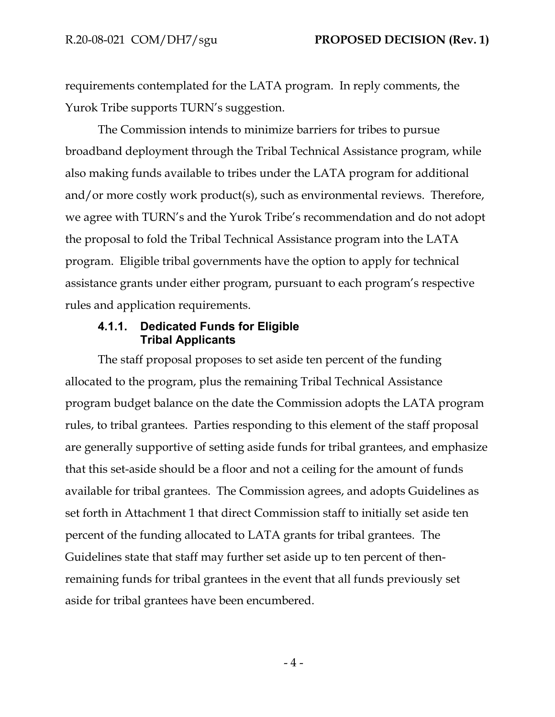requirements contemplated for the LATA program. In reply comments, the Yurok Tribe supports TURN's suggestion.

The Commission intends to minimize barriers for tribes to pursue broadband deployment through the Tribal Technical Assistance program, while also making funds available to tribes under the LATA program for additional and/or more costly work product(s), such as environmental reviews. Therefore, we agree with TURN's and the Yurok Tribe's recommendation and do not adopt the proposal to fold the Tribal Technical Assistance program into the LATA program. Eligible tribal governments have the option to apply for technical assistance grants under either program, pursuant to each program's respective rules and application requirements.

### **4.1.1. Dedicated Funds for Eligible Tribal Applicants**

The staff proposal proposes to set aside ten percent of the funding allocated to the program, plus the remaining Tribal Technical Assistance program budget balance on the date the Commission adopts the LATA program rules, to tribal grantees. Parties responding to this element of the staff proposal are generally supportive of setting aside funds for tribal grantees, and emphasize that this set-aside should be a floor and not a ceiling for the amount of funds available for tribal grantees. The Commission agrees, and adopts Guidelines as set forth in Attachment 1 that direct Commission staff to initially set aside ten percent of the funding allocated to LATA grants for tribal grantees. The Guidelines state that staff may further set aside up to ten percent of thenremaining funds for tribal grantees in the event that all funds previously set aside for tribal grantees have been encumbered.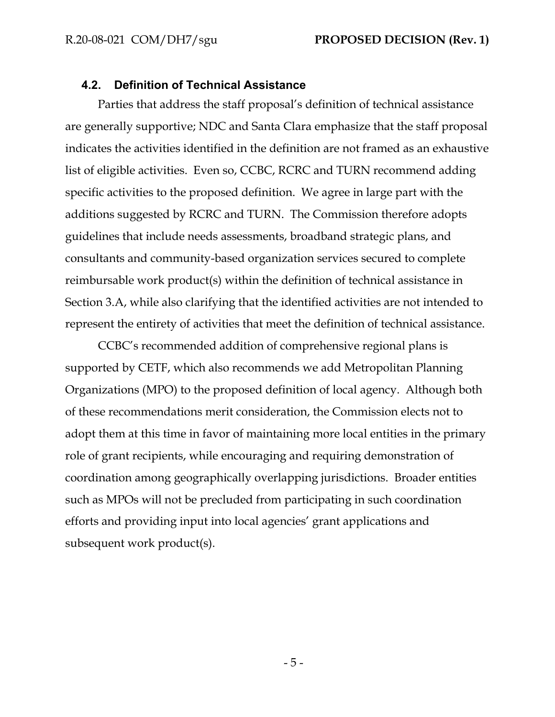#### **4.2. Definition of Technical Assistance**

Parties that address the staff proposal's definition of technical assistance are generally supportive; NDC and Santa Clara emphasize that the staff proposal indicates the activities identified in the definition are not framed as an exhaustive list of eligible activities. Even so, CCBC, RCRC and TURN recommend adding specific activities to the proposed definition. We agree in large part with the additions suggested by RCRC and TURN. The Commission therefore adopts guidelines that include needs assessments, broadband strategic plans, and consultants and community-based organization services secured to complete reimbursable work product(s) within the definition of technical assistance in Section 3.A, while also clarifying that the identified activities are not intended to represent the entirety of activities that meet the definition of technical assistance.

CCBC's recommended addition of comprehensive regional plans is supported by CETF, which also recommends we add Metropolitan Planning Organizations (MPO) to the proposed definition of local agency. Although both of these recommendations merit consideration, the Commission elects not to adopt them at this time in favor of maintaining more local entities in the primary role of grant recipients, while encouraging and requiring demonstration of coordination among geographically overlapping jurisdictions. Broader entities such as MPOs will not be precluded from participating in such coordination efforts and providing input into local agencies' grant applications and subsequent work product(s).

- 5 -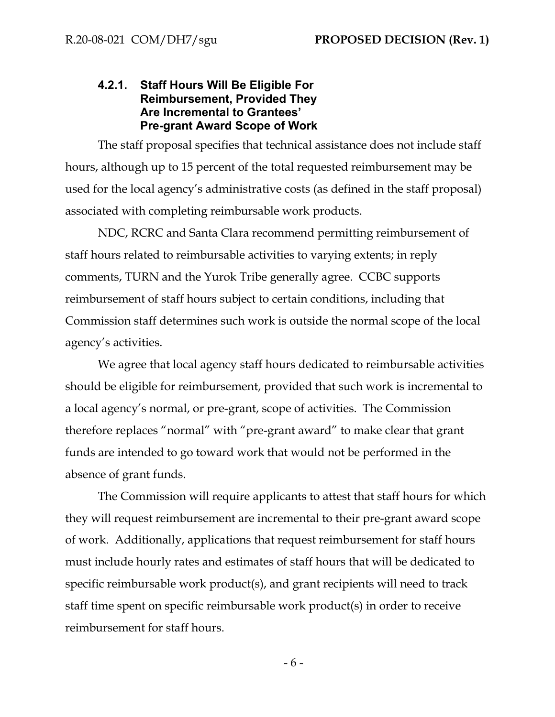### **4.2.1. Staff Hours Will Be Eligible For Reimbursement, Provided They Are Incremental to Grantees' Pre-grant Award Scope of Work**

The staff proposal specifies that technical assistance does not include staff hours, although up to 15 percent of the total requested reimbursement may be used for the local agency's administrative costs (as defined in the staff proposal) associated with completing reimbursable work products.

NDC, RCRC and Santa Clara recommend permitting reimbursement of staff hours related to reimbursable activities to varying extents; in reply comments, TURN and the Yurok Tribe generally agree. CCBC supports reimbursement of staff hours subject to certain conditions, including that Commission staff determines such work is outside the normal scope of the local agency's activities.

We agree that local agency staff hours dedicated to reimbursable activities should be eligible for reimbursement, provided that such work is incremental to a local agency's normal, or pre-grant, scope of activities. The Commission therefore replaces "normal" with "pre-grant award" to make clear that grant funds are intended to go toward work that would not be performed in the absence of grant funds.

The Commission will require applicants to attest that staff hours for which they will request reimbursement are incremental to their pre-grant award scope of work. Additionally, applications that request reimbursement for staff hours must include hourly rates and estimates of staff hours that will be dedicated to specific reimbursable work product(s), and grant recipients will need to track staff time spent on specific reimbursable work product(s) in order to receive reimbursement for staff hours.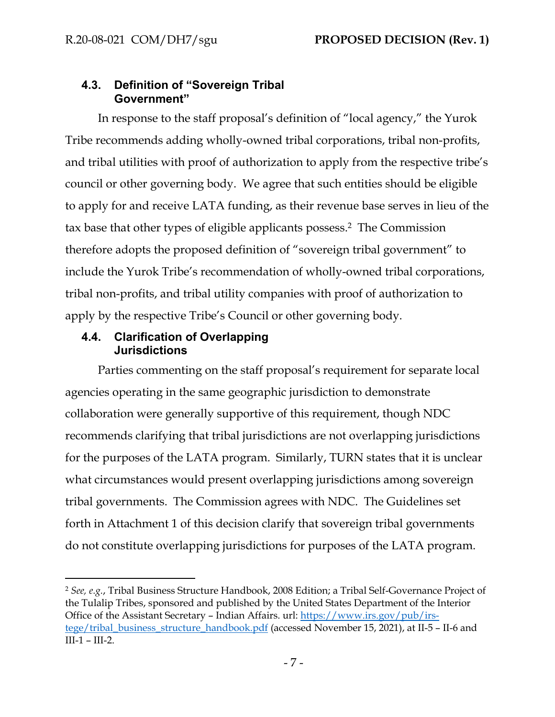## **4.3. Definition of "Sovereign Tribal Government"**

In response to the staff proposal's definition of "local agency," the Yurok Tribe recommends adding wholly-owned tribal corporations, tribal non-profits, and tribal utilities with proof of authorization to apply from the respective tribe's council or other governing body. We agree that such entities should be eligible to apply for and receive LATA funding, as their revenue base serves in lieu of the tax base that other types of eligible applicants possess.<sup>2</sup> The Commission therefore adopts the proposed definition of "sovereign tribal government" to include the Yurok Tribe's recommendation of wholly-owned tribal corporations, tribal non-profits, and tribal utility companies with proof of authorization to apply by the respective Tribe's Council or other governing body.

# **4.4. Clarification of Overlapping Jurisdictions**

Parties commenting on the staff proposal's requirement for separate local agencies operating in the same geographic jurisdiction to demonstrate collaboration were generally supportive of this requirement, though NDC recommends clarifying that tribal jurisdictions are not overlapping jurisdictions for the purposes of the LATA program. Similarly, TURN states that it is unclear what circumstances would present overlapping jurisdictions among sovereign tribal governments. The Commission agrees with NDC. The Guidelines set forth in Attachment 1 of this decision clarify that sovereign tribal governments do not constitute overlapping jurisdictions for purposes of the LATA program.

<sup>2</sup> *See, e.g.*, Tribal Business Structure Handbook, 2008 Edition; a Tribal Self-Governance Project of the Tulalip Tribes, sponsored and published by the United States Department of the Interior Office of the Assistant Secretary – Indian Affairs. url: [https://www.irs.gov/pub/irs](about:blank)[tege/tribal\\_business\\_structure\\_handbook.pdf](about:blank) (accessed November 15, 2021), at II-5 – II-6 and III-1 – III-2.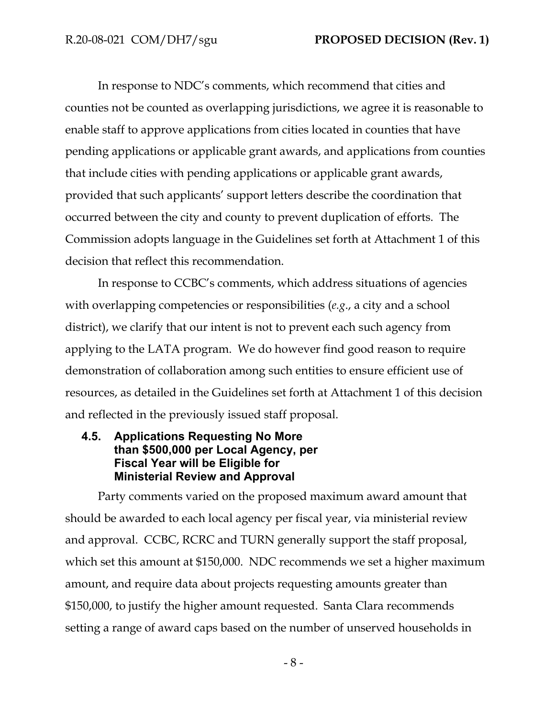In response to NDC's comments, which recommend that cities and counties not be counted as overlapping jurisdictions, we agree it is reasonable to enable staff to approve applications from cities located in counties that have pending applications or applicable grant awards, and applications from counties that include cities with pending applications or applicable grant awards, provided that such applicants' support letters describe the coordination that occurred between the city and county to prevent duplication of efforts. The Commission adopts language in the Guidelines set forth at Attachment 1 of this decision that reflect this recommendation.

In response to CCBC's comments, which address situations of agencies with overlapping competencies or responsibilities (*e.g*., a city and a school district), we clarify that our intent is not to prevent each such agency from applying to the LATA program. We do however find good reason to require demonstration of collaboration among such entities to ensure efficient use of resources, as detailed in the Guidelines set forth at Attachment 1 of this decision and reflected in the previously issued staff proposal.

## **4.5. Applications Requesting No More than \$500,000 per Local Agency, per Fiscal Year will be Eligible for Ministerial Review and Approval**

Party comments varied on the proposed maximum award amount that should be awarded to each local agency per fiscal year, via ministerial review and approval. CCBC, RCRC and TURN generally support the staff proposal, which set this amount at \$150,000. NDC recommends we set a higher maximum amount, and require data about projects requesting amounts greater than \$150,000, to justify the higher amount requested. Santa Clara recommends setting a range of award caps based on the number of unserved households in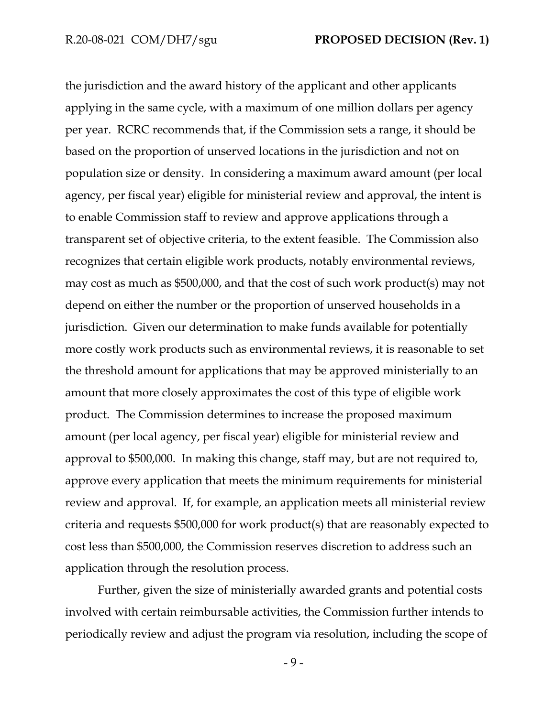the jurisdiction and the award history of the applicant and other applicants applying in the same cycle, with a maximum of one million dollars per agency per year. RCRC recommends that, if the Commission sets a range, it should be based on the proportion of unserved locations in the jurisdiction and not on population size or density. In considering a maximum award amount (per local agency, per fiscal year) eligible for ministerial review and approval, the intent is to enable Commission staff to review and approve applications through a transparent set of objective criteria, to the extent feasible. The Commission also recognizes that certain eligible work products, notably environmental reviews, may cost as much as \$500,000, and that the cost of such work product(s) may not depend on either the number or the proportion of unserved households in a jurisdiction. Given our determination to make funds available for potentially more costly work products such as environmental reviews, it is reasonable to set the threshold amount for applications that may be approved ministerially to an amount that more closely approximates the cost of this type of eligible work product. The Commission determines to increase the proposed maximum amount (per local agency, per fiscal year) eligible for ministerial review and approval to \$500,000. In making this change, staff may, but are not required to, approve every application that meets the minimum requirements for ministerial review and approval. If, for example, an application meets all ministerial review criteria and requests \$500,000 for work product(s) that are reasonably expected to cost less than \$500,000, the Commission reserves discretion to address such an application through the resolution process.

Further, given the size of ministerially awarded grants and potential costs involved with certain reimbursable activities, the Commission further intends to periodically review and adjust the program via resolution, including the scope of

- 9 -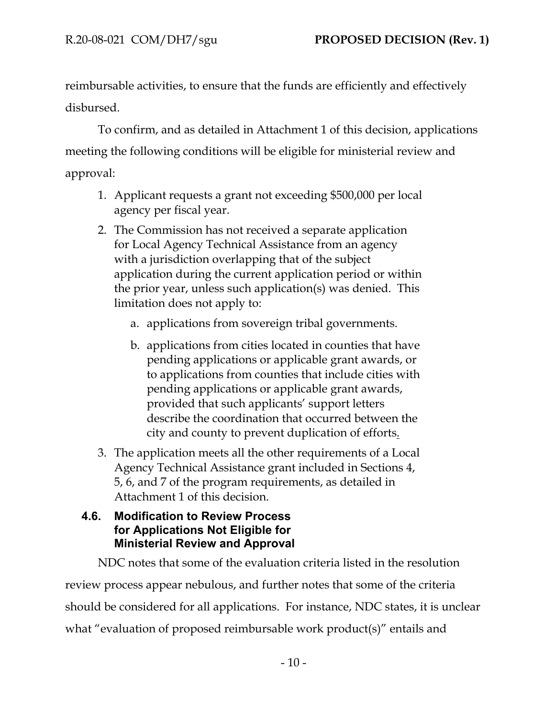reimbursable activities, to ensure that the funds are efficiently and effectively disbursed.

To confirm, and as detailed in Attachment 1 of this decision, applications meeting the following conditions will be eligible for ministerial review and approval:

- 1. Applicant requests a grant not exceeding \$500,000 per local agency per fiscal year.
- 2. The Commission has not received a separate application for Local Agency Technical Assistance from an agency with a jurisdiction overlapping that of the subject application during the current application period or within the prior year, unless such application(s) was denied. This limitation does not apply to:
	- a. applications from sovereign tribal governments.
	- b. applications from cities located in counties that have pending applications or applicable grant awards, or to applications from counties that include cities with pending applications or applicable grant awards, provided that such applicants' support letters describe the coordination that occurred between the city and county to prevent duplication of efforts.
- 3. The application meets all the other requirements of a Local Agency Technical Assistance grant included in Sections 4, 5, 6, and 7 of the program requirements, as detailed in Attachment 1 of this decision.

### **4.6. Modification to Review Process for Applications Not Eligible for Ministerial Review and Approval**

NDC notes that some of the evaluation criteria listed in the resolution review process appear nebulous, and further notes that some of the criteria should be considered for all applications. For instance, NDC states, it is unclear what "evaluation of proposed reimbursable work product(s)" entails and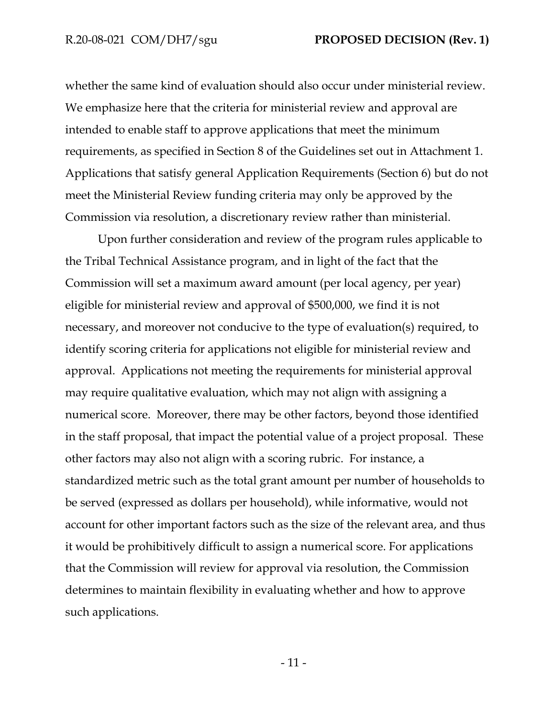whether the same kind of evaluation should also occur under ministerial review. We emphasize here that the criteria for ministerial review and approval are intended to enable staff to approve applications that meet the minimum requirements, as specified in Section 8 of the Guidelines set out in Attachment 1. Applications that satisfy general Application Requirements (Section 6) but do not meet the Ministerial Review funding criteria may only be approved by the Commission via resolution, a discretionary review rather than ministerial.

Upon further consideration and review of the program rules applicable to the Tribal Technical Assistance program, and in light of the fact that the Commission will set a maximum award amount (per local agency, per year) eligible for ministerial review and approval of \$500,000, we find it is not necessary, and moreover not conducive to the type of evaluation(s) required, to identify scoring criteria for applications not eligible for ministerial review and approval. Applications not meeting the requirements for ministerial approval may require qualitative evaluation, which may not align with assigning a numerical score. Moreover, there may be other factors, beyond those identified in the staff proposal, that impact the potential value of a project proposal. These other factors may also not align with a scoring rubric. For instance, a standardized metric such as the total grant amount per number of households to be served (expressed as dollars per household), while informative, would not account for other important factors such as the size of the relevant area, and thus it would be prohibitively difficult to assign a numerical score. For applications that the Commission will review for approval via resolution, the Commission determines to maintain flexibility in evaluating whether and how to approve such applications.

- 11 -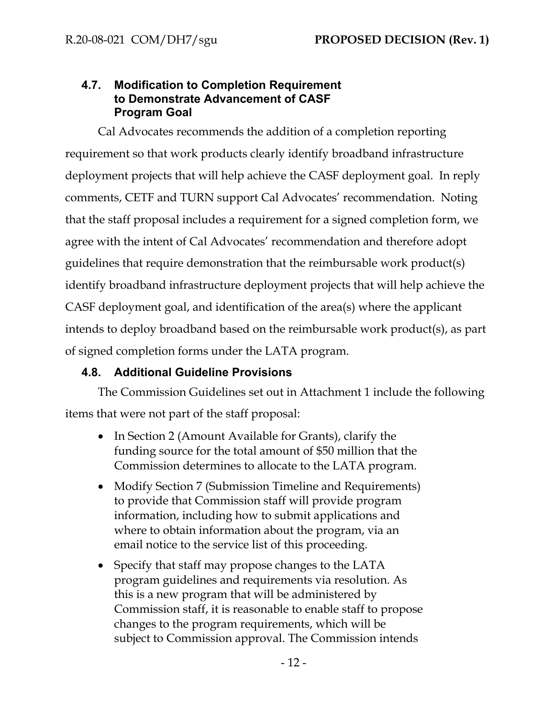# **4.7. Modification to Completion Requirement to Demonstrate Advancement of CASF Program Goal**

Cal Advocates recommends the addition of a completion reporting requirement so that work products clearly identify broadband infrastructure deployment projects that will help achieve the CASF deployment goal. In reply comments, CETF and TURN support Cal Advocates' recommendation. Noting that the staff proposal includes a requirement for a signed completion form, we agree with the intent of Cal Advocates' recommendation and therefore adopt guidelines that require demonstration that the reimbursable work product(s) identify broadband infrastructure deployment projects that will help achieve the CASF deployment goal, and identification of the area(s) where the applicant intends to deploy broadband based on the reimbursable work product(s), as part of signed completion forms under the LATA program.

# **4.8. Additional Guideline Provisions**

The Commission Guidelines set out in Attachment 1 include the following items that were not part of the staff proposal:

- In Section 2 (Amount Available for Grants), clarify the funding source for the total amount of \$50 million that the Commission determines to allocate to the LATA program.
- Modify Section 7 (Submission Timeline and Requirements) to provide that Commission staff will provide program information, including how to submit applications and where to obtain information about the program, via an email notice to the service list of this proceeding.
- Specify that staff may propose changes to the LATA program guidelines and requirements via resolution. As this is a new program that will be administered by Commission staff, it is reasonable to enable staff to propose changes to the program requirements, which will be subject to Commission approval. The Commission intends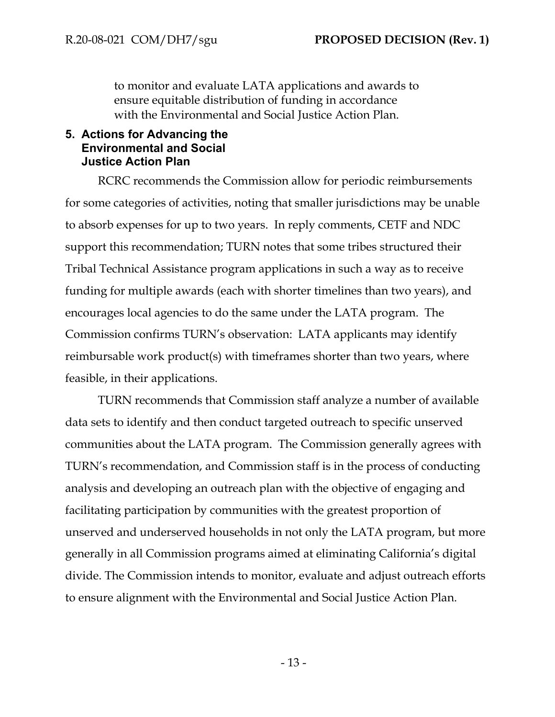to monitor and evaluate LATA applications and awards to ensure equitable distribution of funding in accordance with the Environmental and Social Justice Action Plan.

## **5. Actions for Advancing the Environmental and Social Justice Action Plan**

RCRC recommends the Commission allow for periodic reimbursements for some categories of activities, noting that smaller jurisdictions may be unable to absorb expenses for up to two years. In reply comments, CETF and NDC support this recommendation; TURN notes that some tribes structured their Tribal Technical Assistance program applications in such a way as to receive funding for multiple awards (each with shorter timelines than two years), and encourages local agencies to do the same under the LATA program. The Commission confirms TURN's observation: LATA applicants may identify reimbursable work product(s) with timeframes shorter than two years, where feasible, in their applications.

TURN recommends that Commission staff analyze a number of available data sets to identify and then conduct targeted outreach to specific unserved communities about the LATA program. The Commission generally agrees with TURN's recommendation, and Commission staff is in the process of conducting analysis and developing an outreach plan with the objective of engaging and facilitating participation by communities with the greatest proportion of unserved and underserved households in not only the LATA program, but more generally in all Commission programs aimed at eliminating California's digital divide. The Commission intends to monitor, evaluate and adjust outreach efforts to ensure alignment with the Environmental and Social Justice Action Plan.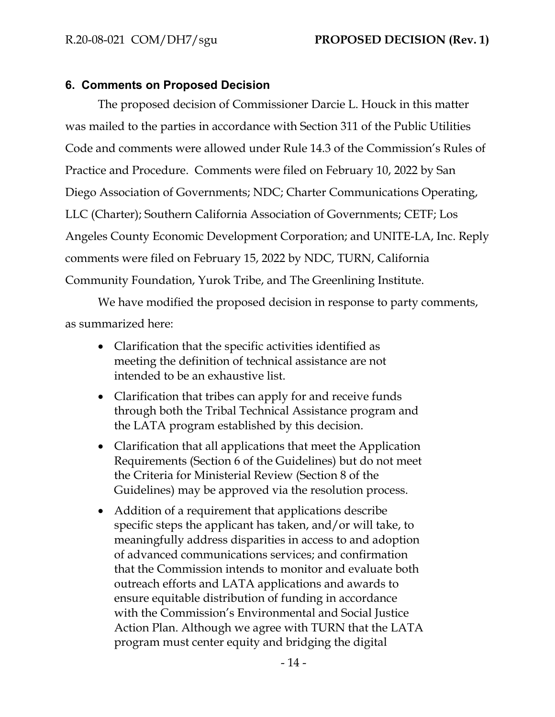## **6. Comments on Proposed Decision**

The proposed decision of Commissioner Darcie L. Houck in this matter was mailed to the parties in accordance with Section 311 of the Public Utilities Code and comments were allowed under Rule 14.3 of the Commission's Rules of Practice and Procedure. Comments were filed on February 10, 2022 by San Diego Association of Governments; NDC; Charter Communications Operating, LLC (Charter); Southern California Association of Governments; CETF; Los Angeles County Economic Development Corporation; and UNITE-LA, Inc. Reply comments were filed on February 15, 2022 by NDC, TURN, California Community Foundation, Yurok Tribe, and The Greenlining Institute.

We have modified the proposed decision in response to party comments, as summarized here:

- Clarification that the specific activities identified as meeting the definition of technical assistance are not intended to be an exhaustive list.
- Clarification that tribes can apply for and receive funds through both the Tribal Technical Assistance program and the LATA program established by this decision.
- Clarification that all applications that meet the Application Requirements (Section 6 of the Guidelines) but do not meet the Criteria for Ministerial Review (Section 8 of the Guidelines) may be approved via the resolution process.
- Addition of a requirement that applications describe specific steps the applicant has taken, and/or will take, to meaningfully address disparities in access to and adoption of advanced communications services; and confirmation that the Commission intends to monitor and evaluate both outreach efforts and LATA applications and awards to ensure equitable distribution of funding in accordance with the Commission's Environmental and Social Justice Action Plan. Although we agree with TURN that the LATA program must center equity and bridging the digital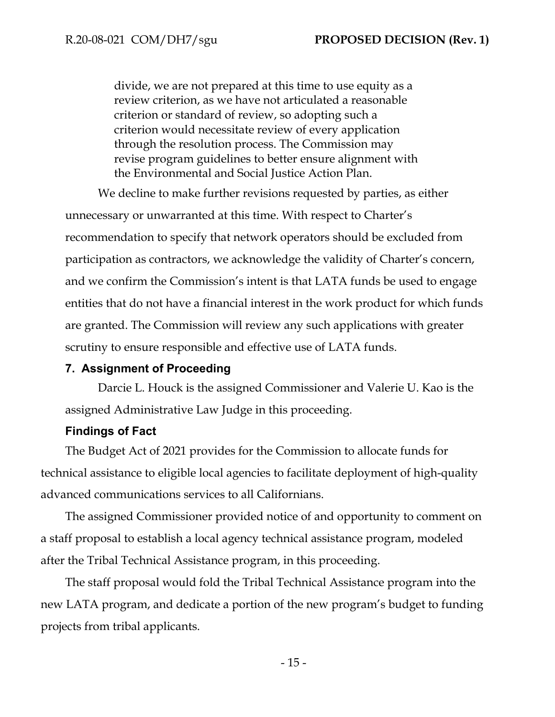divide, we are not prepared at this time to use equity as a review criterion, as we have not articulated a reasonable criterion or standard of review, so adopting such a criterion would necessitate review of every application through the resolution process. The Commission may revise program guidelines to better ensure alignment with the Environmental and Social Justice Action Plan.

We decline to make further revisions requested by parties, as either unnecessary or unwarranted at this time. With respect to Charter's recommendation to specify that network operators should be excluded from participation as contractors, we acknowledge the validity of Charter's concern, and we confirm the Commission's intent is that LATA funds be used to engage entities that do not have a financial interest in the work product for which funds are granted. The Commission will review any such applications with greater scrutiny to ensure responsible and effective use of LATA funds.

#### **7. Assignment of Proceeding**

Darcie L. Houck is the assigned Commissioner and Valerie U. Kao is the assigned Administrative Law Judge in this proceeding.

#### **Findings of Fact**

The Budget Act of 2021 provides for the Commission to allocate funds for technical assistance to eligible local agencies to facilitate deployment of high-quality advanced communications services to all Californians.

The assigned Commissioner provided notice of and opportunity to comment on a staff proposal to establish a local agency technical assistance program, modeled after the Tribal Technical Assistance program, in this proceeding.

The staff proposal would fold the Tribal Technical Assistance program into the new LATA program, and dedicate a portion of the new program's budget to funding projects from tribal applicants.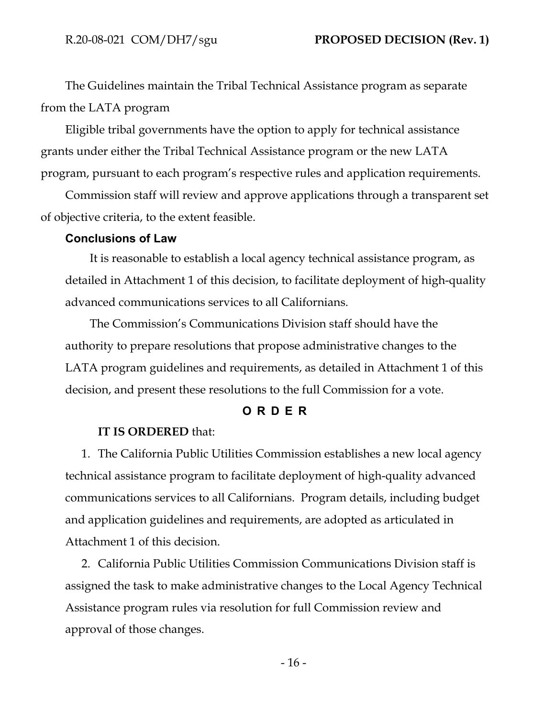The Guidelines maintain the Tribal Technical Assistance program as separate from the LATA program

Eligible tribal governments have the option to apply for technical assistance grants under either the Tribal Technical Assistance program or the new LATA program, pursuant to each program's respective rules and application requirements.

Commission staff will review and approve applications through a transparent set of objective criteria, to the extent feasible.

### **Conclusions of Law**

It is reasonable to establish a local agency technical assistance program, as detailed in Attachment 1 of this decision, to facilitate deployment of high-quality advanced communications services to all Californians.

The Commission's Communications Division staff should have the authority to prepare resolutions that propose administrative changes to the LATA program guidelines and requirements, as detailed in Attachment 1 of this decision, and present these resolutions to the full Commission for a vote.

#### **O R D E R**

#### **IT IS ORDERED** that:

1. The California Public Utilities Commission establishes a new local agency technical assistance program to facilitate deployment of high-quality advanced communications services to all Californians. Program details, including budget and application guidelines and requirements, are adopted as articulated in Attachment 1 of this decision.

2. California Public Utilities Commission Communications Division staff is assigned the task to make administrative changes to the Local Agency Technical Assistance program rules via resolution for full Commission review and approval of those changes.